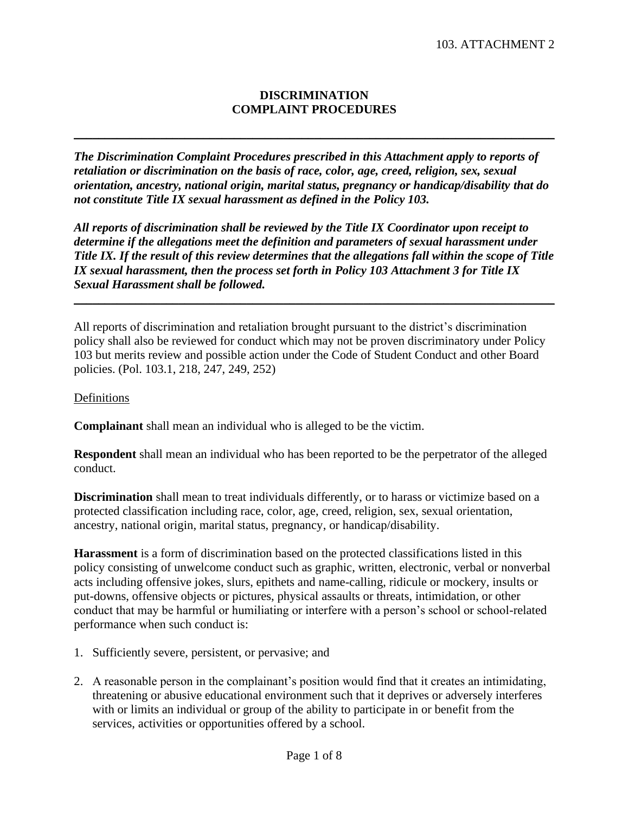#### **DISCRIMINATION COMPLAINT PROCEDURES**

\_\_\_\_\_\_\_\_\_\_\_\_\_\_\_\_\_\_\_\_\_\_\_\_\_\_\_\_\_\_\_\_\_\_\_\_\_\_\_\_\_\_\_\_\_\_\_\_\_\_\_\_\_\_\_\_\_\_\_\_\_\_\_\_\_\_\_\_\_\_\_\_\_\_\_\_\_\_

*The Discrimination Complaint Procedures prescribed in this Attachment apply to reports of retaliation or discrimination on the basis of race, color, age, creed, religion, sex, sexual orientation, ancestry, national origin, marital status, pregnancy or handicap/disability that do not constitute Title IX sexual harassment as defined in the Policy 103.* 

*All reports of discrimination shall be reviewed by the Title IX Coordinator upon receipt to determine if the allegations meet the definition and parameters of sexual harassment under Title IX. If the result of this review determines that the allegations fall within the scope of Title IX sexual harassment, then the process set forth in Policy 103 Attachment 3 for Title IX Sexual Harassment shall be followed.*

\_\_\_\_\_\_\_\_\_\_\_\_\_\_\_\_\_\_\_\_\_\_\_\_\_\_\_\_\_\_\_\_\_\_\_\_\_\_\_\_\_\_\_\_\_\_\_\_\_\_\_\_\_\_\_\_\_\_\_\_\_\_\_\_\_\_\_\_\_\_\_\_\_\_\_\_\_\_

All reports of discrimination and retaliation brought pursuant to the district's discrimination policy shall also be reviewed for conduct which may not be proven discriminatory under Policy 103 but merits review and possible action under the Code of Student Conduct and other Board policies. (Pol. 103.1, 218, 247, 249, 252)

#### Definitions

**Complainant** shall mean an individual who is alleged to be the victim.

**Respondent** shall mean an individual who has been reported to be the perpetrator of the alleged conduct.

**Discrimination** shall mean to treat individuals differently, or to harass or victimize based on a protected classification including race, color, age, creed, religion, sex, sexual orientation, ancestry, national origin, marital status, pregnancy, or handicap/disability.

**Harassment** is a form of discrimination based on the protected classifications listed in this policy consisting of unwelcome conduct such as graphic, written, electronic, verbal or nonverbal acts including offensive jokes, slurs, epithets and name-calling, ridicule or mockery, insults or put-downs, offensive objects or pictures, physical assaults or threats, intimidation, or other conduct that may be harmful or humiliating or interfere with a person's school or school-related performance when such conduct is:

- 1. Sufficiently severe, persistent, or pervasive; and
- 2. A reasonable person in the complainant's position would find that it creates an intimidating, threatening or abusive educational environment such that it deprives or adversely interferes with or limits an individual or group of the ability to participate in or benefit from the services, activities or opportunities offered by a school.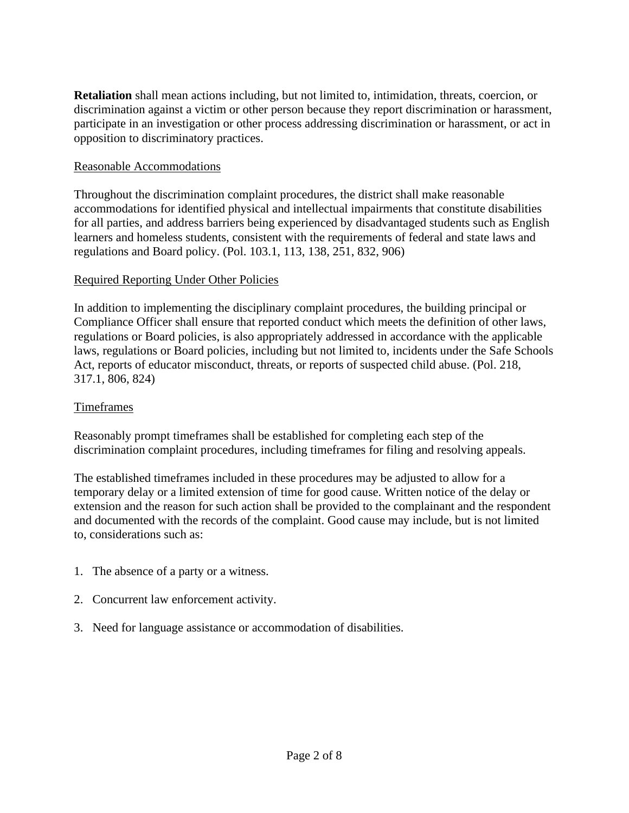**Retaliation** shall mean actions including, but not limited to, intimidation, threats, coercion, or discrimination against a victim or other person because they report discrimination or harassment, participate in an investigation or other process addressing discrimination or harassment, or act in opposition to discriminatory practices.

#### Reasonable Accommodations

Throughout the discrimination complaint procedures, the district shall make reasonable accommodations for identified physical and intellectual impairments that constitute disabilities for all parties, and address barriers being experienced by disadvantaged students such as English learners and homeless students, consistent with the requirements of federal and state laws and regulations and Board policy. (Pol. 103.1, 113, 138, 251, 832, 906)

#### Required Reporting Under Other Policies

In addition to implementing the disciplinary complaint procedures, the building principal or Compliance Officer shall ensure that reported conduct which meets the definition of other laws, regulations or Board policies, is also appropriately addressed in accordance with the applicable laws, regulations or Board policies, including but not limited to, incidents under the Safe Schools Act, reports of educator misconduct, threats, or reports of suspected child abuse. (Pol. 218, 317.1, 806, 824)

#### Timeframes

Reasonably prompt timeframes shall be established for completing each step of the discrimination complaint procedures, including timeframes for filing and resolving appeals.

The established timeframes included in these procedures may be adjusted to allow for a temporary delay or a limited extension of time for good cause. Written notice of the delay or extension and the reason for such action shall be provided to the complainant and the respondent and documented with the records of the complaint. Good cause may include, but is not limited to, considerations such as:

- 1. The absence of a party or a witness.
- 2. Concurrent law enforcement activity.
- 3. Need for language assistance or accommodation of disabilities.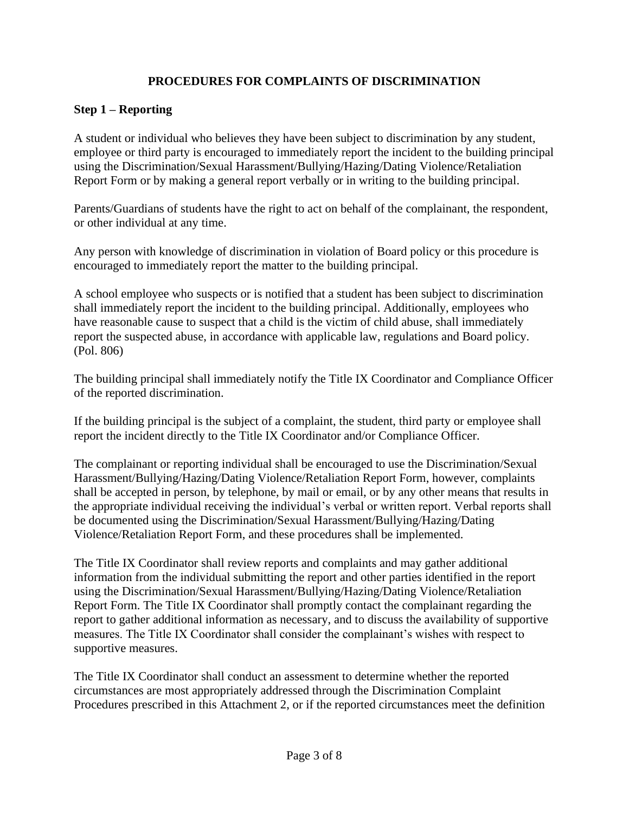## **PROCEDURES FOR COMPLAINTS OF DISCRIMINATION**

## **Step 1 – Reporting**

A student or individual who believes they have been subject to discrimination by any student, employee or third party is encouraged to immediately report the incident to the building principal using the Discrimination/Sexual Harassment/Bullying/Hazing/Dating Violence/Retaliation Report Form or by making a general report verbally or in writing to the building principal.

Parents/Guardians of students have the right to act on behalf of the complainant, the respondent, or other individual at any time.

Any person with knowledge of discrimination in violation of Board policy or this procedure is encouraged to immediately report the matter to the building principal.

A school employee who suspects or is notified that a student has been subject to discrimination shall immediately report the incident to the building principal. Additionally, employees who have reasonable cause to suspect that a child is the victim of child abuse, shall immediately report the suspected abuse, in accordance with applicable law, regulations and Board policy. (Pol. 806)

The building principal shall immediately notify the Title IX Coordinator and Compliance Officer of the reported discrimination.

If the building principal is the subject of a complaint, the student, third party or employee shall report the incident directly to the Title IX Coordinator and/or Compliance Officer.

The complainant or reporting individual shall be encouraged to use the Discrimination/Sexual Harassment/Bullying/Hazing/Dating Violence/Retaliation Report Form, however, complaints shall be accepted in person, by telephone, by mail or email, or by any other means that results in the appropriate individual receiving the individual's verbal or written report. Verbal reports shall be documented using the Discrimination/Sexual Harassment/Bullying/Hazing/Dating Violence/Retaliation Report Form, and these procedures shall be implemented.

The Title IX Coordinator shall review reports and complaints and may gather additional information from the individual submitting the report and other parties identified in the report using the Discrimination/Sexual Harassment/Bullying/Hazing/Dating Violence/Retaliation Report Form. The Title IX Coordinator shall promptly contact the complainant regarding the report to gather additional information as necessary, and to discuss the availability of supportive measures. The Title IX Coordinator shall consider the complainant's wishes with respect to supportive measures.

The Title IX Coordinator shall conduct an assessment to determine whether the reported circumstances are most appropriately addressed through the Discrimination Complaint Procedures prescribed in this Attachment 2, or if the reported circumstances meet the definition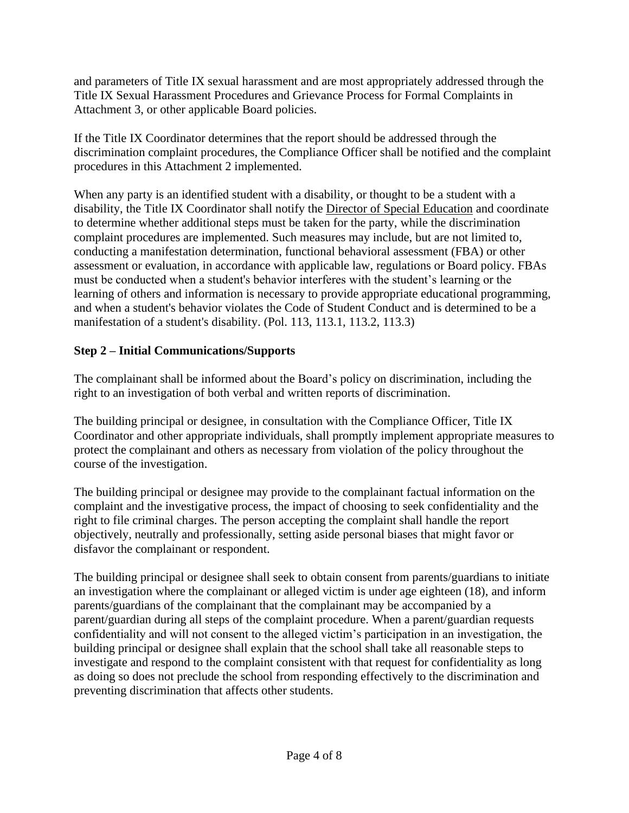and parameters of Title IX sexual harassment and are most appropriately addressed through the Title IX Sexual Harassment Procedures and Grievance Process for Formal Complaints in Attachment 3, or other applicable Board policies.

If the Title IX Coordinator determines that the report should be addressed through the discrimination complaint procedures, the Compliance Officer shall be notified and the complaint procedures in this Attachment 2 implemented.

When any party is an identified student with a disability, or thought to be a student with a disability, the Title IX Coordinator shall notify the Director of Special Education and coordinate to determine whether additional steps must be taken for the party, while the discrimination complaint procedures are implemented. Such measures may include, but are not limited to, conducting a manifestation determination, functional behavioral assessment (FBA) or other assessment or evaluation, in accordance with applicable law, regulations or Board policy. FBAs must be conducted when a student's behavior interferes with the student's learning or the learning of others and information is necessary to provide appropriate educational programming, and when a student's behavior violates the Code of Student Conduct and is determined to be a manifestation of a student's disability. (Pol. 113, 113.1, 113.2, 113.3)

# **Step 2 – Initial Communications/Supports**

The complainant shall be informed about the Board's policy on discrimination, including the right to an investigation of both verbal and written reports of discrimination.

The building principal or designee, in consultation with the Compliance Officer, Title IX Coordinator and other appropriate individuals, shall promptly implement appropriate measures to protect the complainant and others as necessary from violation of the policy throughout the course of the investigation.

The building principal or designee may provide to the complainant factual information on the complaint and the investigative process, the impact of choosing to seek confidentiality and the right to file criminal charges. The person accepting the complaint shall handle the report objectively, neutrally and professionally, setting aside personal biases that might favor or disfavor the complainant or respondent.

The building principal or designee shall seek to obtain consent from parents/guardians to initiate an investigation where the complainant or alleged victim is under age eighteen (18), and inform parents/guardians of the complainant that the complainant may be accompanied by a parent/guardian during all steps of the complaint procedure. When a parent/guardian requests confidentiality and will not consent to the alleged victim's participation in an investigation, the building principal or designee shall explain that the school shall take all reasonable steps to investigate and respond to the complaint consistent with that request for confidentiality as long as doing so does not preclude the school from responding effectively to the discrimination and preventing discrimination that affects other students.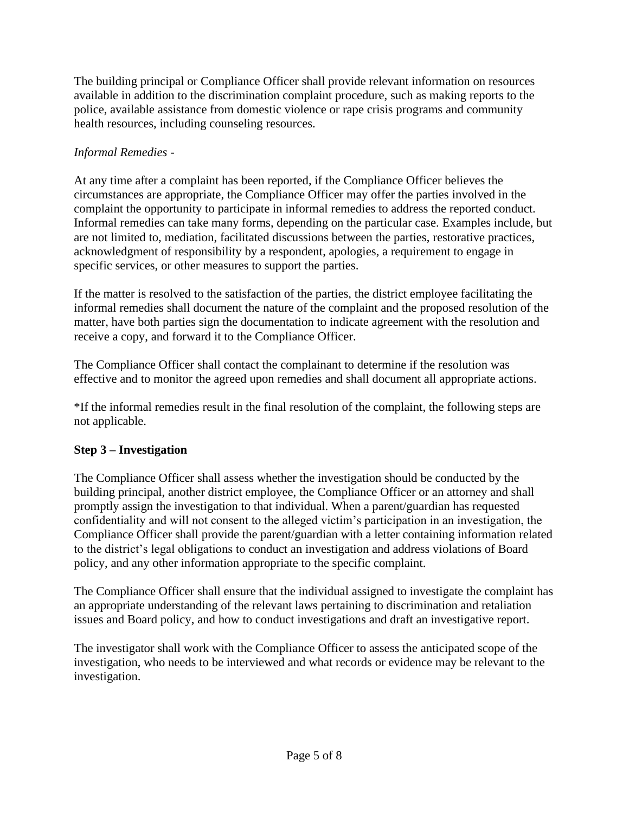The building principal or Compliance Officer shall provide relevant information on resources available in addition to the discrimination complaint procedure, such as making reports to the police, available assistance from domestic violence or rape crisis programs and community health resources, including counseling resources.

## *Informal Remedies -*

At any time after a complaint has been reported, if the Compliance Officer believes the circumstances are appropriate, the Compliance Officer may offer the parties involved in the complaint the opportunity to participate in informal remedies to address the reported conduct. Informal remedies can take many forms, depending on the particular case. Examples include, but are not limited to, mediation, facilitated discussions between the parties, restorative practices, acknowledgment of responsibility by a respondent, apologies, a requirement to engage in specific services, or other measures to support the parties.

If the matter is resolved to the satisfaction of the parties, the district employee facilitating the informal remedies shall document the nature of the complaint and the proposed resolution of the matter, have both parties sign the documentation to indicate agreement with the resolution and receive a copy, and forward it to the Compliance Officer.

The Compliance Officer shall contact the complainant to determine if the resolution was effective and to monitor the agreed upon remedies and shall document all appropriate actions.

\*If the informal remedies result in the final resolution of the complaint, the following steps are not applicable.

## **Step 3 – Investigation**

The Compliance Officer shall assess whether the investigation should be conducted by the building principal, another district employee, the Compliance Officer or an attorney and shall promptly assign the investigation to that individual. When a parent/guardian has requested confidentiality and will not consent to the alleged victim's participation in an investigation, the Compliance Officer shall provide the parent/guardian with a letter containing information related to the district's legal obligations to conduct an investigation and address violations of Board policy, and any other information appropriate to the specific complaint.

The Compliance Officer shall ensure that the individual assigned to investigate the complaint has an appropriate understanding of the relevant laws pertaining to discrimination and retaliation issues and Board policy, and how to conduct investigations and draft an investigative report.

The investigator shall work with the Compliance Officer to assess the anticipated scope of the investigation, who needs to be interviewed and what records or evidence may be relevant to the investigation.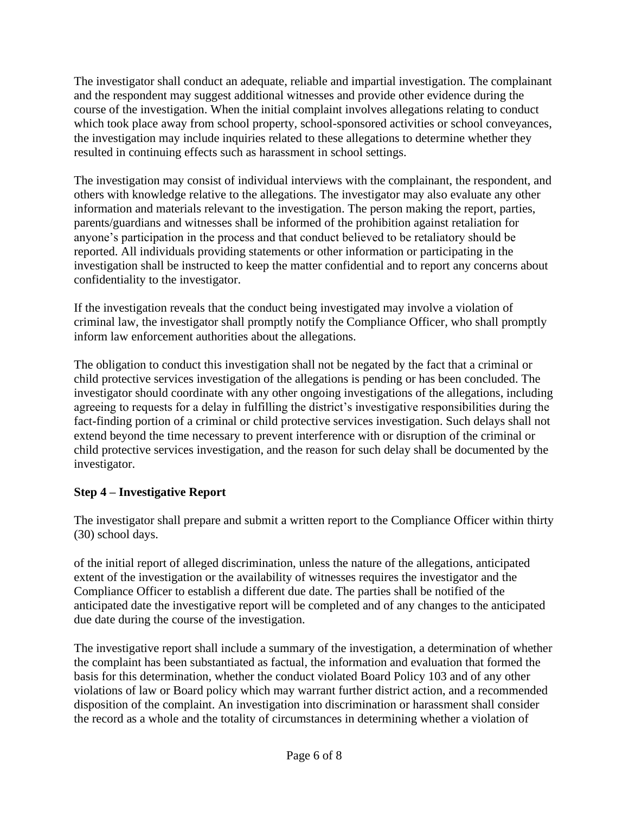The investigator shall conduct an adequate, reliable and impartial investigation. The complainant and the respondent may suggest additional witnesses and provide other evidence during the course of the investigation. When the initial complaint involves allegations relating to conduct which took place away from school property, school-sponsored activities or school conveyances, the investigation may include inquiries related to these allegations to determine whether they resulted in continuing effects such as harassment in school settings.

The investigation may consist of individual interviews with the complainant, the respondent, and others with knowledge relative to the allegations. The investigator may also evaluate any other information and materials relevant to the investigation. The person making the report, parties, parents/guardians and witnesses shall be informed of the prohibition against retaliation for anyone's participation in the process and that conduct believed to be retaliatory should be reported. All individuals providing statements or other information or participating in the investigation shall be instructed to keep the matter confidential and to report any concerns about confidentiality to the investigator.

If the investigation reveals that the conduct being investigated may involve a violation of criminal law, the investigator shall promptly notify the Compliance Officer, who shall promptly inform law enforcement authorities about the allegations.

The obligation to conduct this investigation shall not be negated by the fact that a criminal or child protective services investigation of the allegations is pending or has been concluded. The investigator should coordinate with any other ongoing investigations of the allegations, including agreeing to requests for a delay in fulfilling the district's investigative responsibilities during the fact-finding portion of a criminal or child protective services investigation. Such delays shall not extend beyond the time necessary to prevent interference with or disruption of the criminal or child protective services investigation, and the reason for such delay shall be documented by the investigator.

# **Step 4 – Investigative Report**

The investigator shall prepare and submit a written report to the Compliance Officer within thirty (30) school days.

of the initial report of alleged discrimination, unless the nature of the allegations, anticipated extent of the investigation or the availability of witnesses requires the investigator and the Compliance Officer to establish a different due date. The parties shall be notified of the anticipated date the investigative report will be completed and of any changes to the anticipated due date during the course of the investigation.

The investigative report shall include a summary of the investigation, a determination of whether the complaint has been substantiated as factual, the information and evaluation that formed the basis for this determination, whether the conduct violated Board Policy 103 and of any other violations of law or Board policy which may warrant further district action, and a recommended disposition of the complaint. An investigation into discrimination or harassment shall consider the record as a whole and the totality of circumstances in determining whether a violation of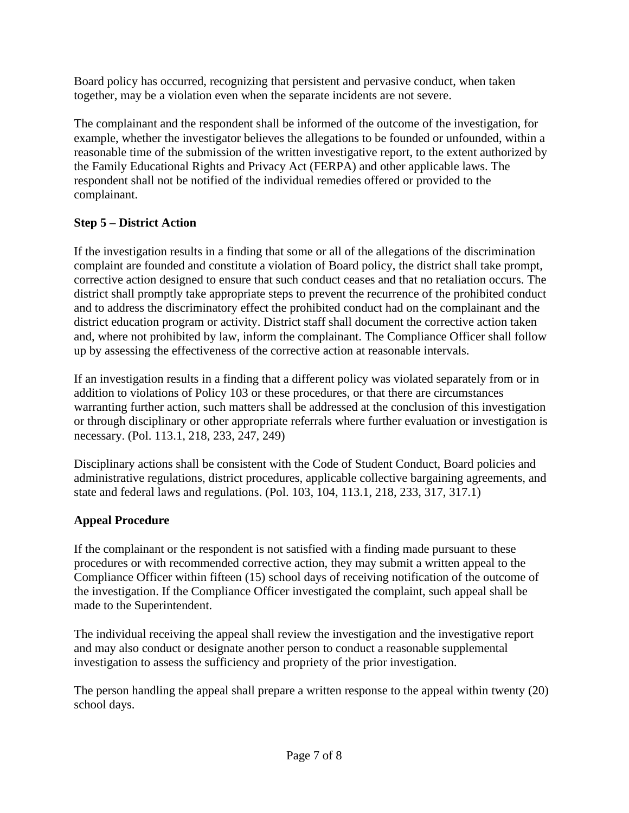Board policy has occurred, recognizing that persistent and pervasive conduct, when taken together, may be a violation even when the separate incidents are not severe.

The complainant and the respondent shall be informed of the outcome of the investigation, for example, whether the investigator believes the allegations to be founded or unfounded, within a reasonable time of the submission of the written investigative report, to the extent authorized by the Family Educational Rights and Privacy Act (FERPA) and other applicable laws. The respondent shall not be notified of the individual remedies offered or provided to the complainant.

# **Step 5 – District Action**

If the investigation results in a finding that some or all of the allegations of the discrimination complaint are founded and constitute a violation of Board policy, the district shall take prompt, corrective action designed to ensure that such conduct ceases and that no retaliation occurs. The district shall promptly take appropriate steps to prevent the recurrence of the prohibited conduct and to address the discriminatory effect the prohibited conduct had on the complainant and the district education program or activity. District staff shall document the corrective action taken and, where not prohibited by law, inform the complainant. The Compliance Officer shall follow up by assessing the effectiveness of the corrective action at reasonable intervals.

If an investigation results in a finding that a different policy was violated separately from or in addition to violations of Policy 103 or these procedures, or that there are circumstances warranting further action, such matters shall be addressed at the conclusion of this investigation or through disciplinary or other appropriate referrals where further evaluation or investigation is necessary. (Pol. 113.1, 218, 233, 247, 249)

Disciplinary actions shall be consistent with the Code of Student Conduct, Board policies and administrative regulations, district procedures, applicable collective bargaining agreements, and state and federal laws and regulations. (Pol. 103, 104, 113.1, 218, 233, 317, 317.1)

# **Appeal Procedure**

If the complainant or the respondent is not satisfied with a finding made pursuant to these procedures or with recommended corrective action, they may submit a written appeal to the Compliance Officer within fifteen (15) school days of receiving notification of the outcome of the investigation. If the Compliance Officer investigated the complaint, such appeal shall be made to the Superintendent.

The individual receiving the appeal shall review the investigation and the investigative report and may also conduct or designate another person to conduct a reasonable supplemental investigation to assess the sufficiency and propriety of the prior investigation.

The person handling the appeal shall prepare a written response to the appeal within twenty (20) school days.